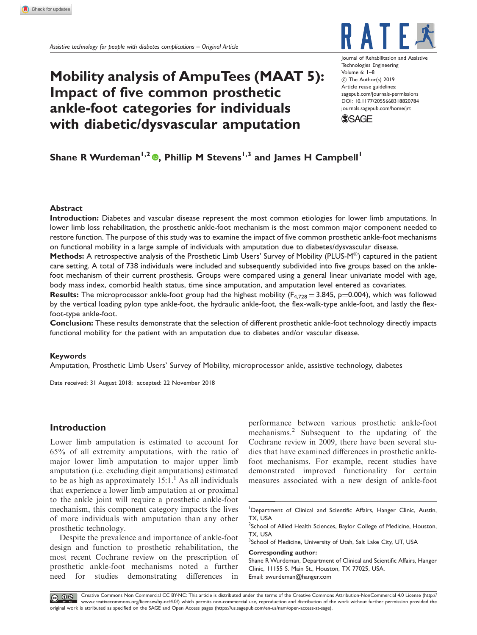# Mobility analysis of AmpuTees (MAAT 5): Impact of five common prosthetic ankle-foot categories for individuals with diabetic/dysvascular amputation



Journal of Rehabilitation and Assisti Technologies Engineering Volume 6: 1–8 C The Author(s) 2019 Article reuse guidelines: [sagepub.com/journals-permissions](https://uk.sagepub.com/en-gb/journals-permissions) DOI: [10.1177/2055668318820784](https://doi.org/10.1177/2055668318820784) <journals.sagepub.com/home/jrt>



## Shane R Wurdeman<sup>1,2</sup>  $\Phi$ , Phillip M Stevens<sup>1,3</sup> and James H Campbell<sup>1</sup>

## Abstract

Introduction: Diabetes and vascular disease represent the most common etiologies for lower limb amputations. In lower limb loss rehabilitation, the prosthetic ankle-foot mechanism is the most common major component needed to restore function. The purpose of this study was to examine the impact of five common prosthetic ankle-foot mechanisms on functional mobility in a large sample of individuals with amputation due to diabetes/dysvascular disease.

Methods: A retrospective analysis of the Prosthetic Limb Users' Survey of Mobility (PLUS-M®) captured in the patient care setting. A total of 738 individuals were included and subsequently subdivided into five groups based on the anklefoot mechanism of their current prosthesis. Groups were compared using a general linear univariate model with age, body mass index, comorbid health status, time since amputation, and amputation level entered as covariates.

**Results:** The microprocessor ankle-foot group had the highest mobility ( $F_{4,728} = 3.845$ , p=0.004), which was followed by the vertical loading pylon type ankle-foot, the hydraulic ankle-foot, the flex-walk-type ankle-foot, and lastly the flexfoot-type ankle-foot.

Conclusion: These results demonstrate that the selection of different prosthetic ankle-foot technology directly impacts functional mobility for the patient with an amputation due to diabetes and/or vascular disease.

## Keywords

Amputation, Prosthetic Limb Users' Survey of Mobility, microprocessor ankle, assistive technology, diabetes

Date received: 31 August 2018; accepted: 22 November 2018

## Introduction

Lower limb amputation is estimated to account for 65% of all extremity amputations, with the ratio of major lower limb amputation to major upper limb amputation (i.e. excluding digit amputations) estimated to be as high as approximately  $15:1<sup>1</sup>$  As all individuals that experience a lower limb amputation at or proximal to the ankle joint will require a prosthetic ankle-foot mechanism, this component category impacts the lives of more individuals with amputation than any other prosthetic technology.

Despite the prevalence and importance of ankle-foot design and function to prosthetic rehabilitation, the most recent Cochrane review on the prescription of prosthetic ankle-foot mechanisms noted a further need for studies demonstrating differences in

performance between various prosthetic ankle-foot mechanisms.<sup>2</sup> Subsequent to the updating of the Cochrane review in 2009, there have been several studies that have examined differences in prosthetic anklefoot mechanisms. For example, recent studies have demonstrated improved functionality for certain measures associated with a new design of ankle-foot

## Corresponding author:

CC<sub>R</sub> OS Creative Commons Non Commercial CC BY-NC: This article is distributed under the terms of the Creative Commons Attribution-NonCommercial 4.0 License (http:// www.creativecommons.org/licenses/by-nc/4.0/) which permits non-commercial use, reproduction and distribution of the work without further permission provided the original work is attributed as specified on the SAGE and Open Access pages (https://us.sagepub.com/en-us/nam/open-access-at-sage).

<sup>&</sup>lt;sup>1</sup>Department of Clinical and Scientific Affairs, Hanger Clinic, Austin, TX, USA

<sup>&</sup>lt;sup>2</sup>School of Allied Health Sciences, Baylor College of Medicine, Houston, TX, USA

<sup>&</sup>lt;sup>3</sup>School of Medicine, University of Utah, Salt Lake City, UT, USA

Shane R Wurdeman, Department of Clinical and Scientific Affairs, Hanger Clinic, 11155 S. Main St., Houston, TX 77025, USA. Email: swurdeman@hanger.com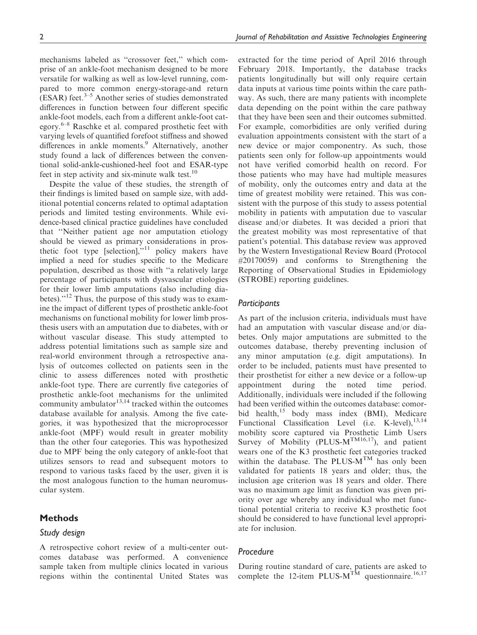mechanisms labeled as ''crossover feet,'' which comprise of an ankle-foot mechanism designed to be more versatile for walking as well as low-level running, compared to more common energy-storage-and return  $(ESAR)$  feet.<sup>3–5</sup> Another series of studies demonstrated differences in function between four different specific ankle-foot models, each from a different ankle-foot category.6–8 Raschke et al. compared prosthetic feet with varying levels of quantified forefoot stiffness and showed differences in ankle moments.<sup>9</sup> Alternatively, another study found a lack of differences between the conventional solid-ankle-cushioned-heel foot and ESAR-type feet in step activity and six-minute walk test.<sup>10</sup>

Despite the value of these studies, the strength of their findings is limited based on sample size, with additional potential concerns related to optimal adaptation periods and limited testing environments. While evidence-based clinical practice guidelines have concluded that ''Neither patient age nor amputation etiology should be viewed as primary considerations in prosthetic foot type [selection], $^{11}$  policy makers have implied a need for studies specific to the Medicare population, described as those with ''a relatively large percentage of participants with dysvascular etiologies for their lower limb amputations (also including diabetes)."<sup>12</sup> Thus, the purpose of this study was to examine the impact of different types of prosthetic ankle-foot mechanisms on functional mobility for lower limb prosthesis users with an amputation due to diabetes, with or without vascular disease. This study attempted to address potential limitations such as sample size and real-world environment through a retrospective analysis of outcomes collected on patients seen in the clinic to assess differences noted with prosthetic ankle-foot type. There are currently five categories of prosthetic ankle-foot mechanisms for the unlimited community ambulator $13,14$  tracked within the outcomes database available for analysis. Among the five categories, it was hypothesized that the microprocessor ankle-foot (MPF) would result in greater mobility than the other four categories. This was hypothesized due to MPF being the only category of ankle-foot that utilizes sensors to read and subsequent motors to respond to various tasks faced by the user, given it is the most analogous function to the human neuromuscular system.

## **Methods**

## Study design

A retrospective cohort review of a multi-center outcomes database was performed. A convenience sample taken from multiple clinics located in various regions within the continental United States was extracted for the time period of April 2016 through February 2018. Importantly, the database tracks patients longitudinally but will only require certain data inputs at various time points within the care pathway. As such, there are many patients with incomplete data depending on the point within the care pathway that they have been seen and their outcomes submitted. For example, comorbidities are only verified during evaluation appointments consistent with the start of a new device or major componentry. As such, those patients seen only for follow-up appointments would not have verified comorbid health on record. For those patients who may have had multiple measures of mobility, only the outcomes entry and data at the time of greatest mobility were retained. This was consistent with the purpose of this study to assess potential mobility in patients with amputation due to vascular disease and/or diabetes. It was decided a priori that the greatest mobility was most representative of that patient's potential. This database review was approved by the Western Investigational Review Board (Protocol #20170059) and conforms to Strengthening the Reporting of Observational Studies in Epidemiology (STROBE) reporting guidelines.

## **Participants**

As part of the inclusion criteria, individuals must have had an amputation with vascular disease and/or diabetes. Only major amputations are submitted to the outcomes database, thereby preventing inclusion of any minor amputation (e.g. digit amputations). In order to be included, patients must have presented to their prosthetist for either a new device or a follow-up appointment during the noted time period. Additionally, individuals were included if the following had been verified within the outcomes database: comorbid health,<sup>15</sup> body mass index (BMI), Medicare Functional Classification Level (i.e. K-level),  $^{13,14}$ mobility score captured via Prosthetic Limb Users Survey of Mobility (PLUS- $M^{TM16,17}$ ), and patient wears one of the K3 prosthetic feet categories tracked within the database. The PLUS- $M^{TM}$  has only been validated for patients 18 years and older; thus, the inclusion age criterion was 18 years and older. There was no maximum age limit as function was given priority over age whereby any individual who met functional potential criteria to receive K3 prosthetic foot should be considered to have functional level appropriate for inclusion.

## Procedure

During routine standard of care, patients are asked to complete the 12-item PLUS- $M^{TM}$  questionnaire.<sup>16,17</sup>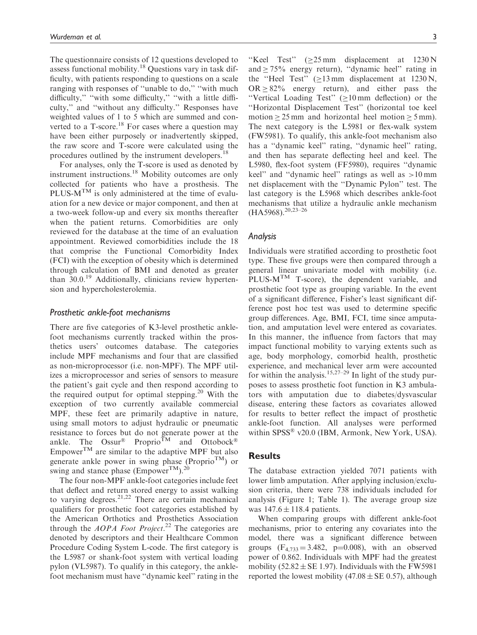The questionnaire consists of 12 questions developed to assess functional mobility.<sup>18</sup> Questions vary in task difficulty, with patients responding to questions on a scale ranging with responses of "unable to do," "with much difficulty,'' ''with some difficulty,'' ''with a little difficulty,'' and ''without any difficulty.'' Responses have weighted values of 1 to 5 which are summed and converted to a T-score.<sup>18</sup> For cases where a question may have been either purposely or inadvertently skipped, the raw score and T-score were calculated using the procedures outlined by the instrument developers.<sup>18</sup>

For analyses, only the T-score is used as denoted by instrument instructions.<sup>18</sup> Mobility outcomes are only collected for patients who have a prosthesis. The PLUS- $M^{TM}$  is only administered at the time of evaluation for a new device or major component, and then at a two-week follow-up and every six months thereafter when the patient returns. Comorbidities are only reviewed for the database at the time of an evaluation appointment. Reviewed comorbidities include the 18 that comprise the Functional Comorbidity Index (FCI) with the exception of obesity which is determined through calculation of BMI and denoted as greater than 30.0.<sup>19</sup> Additionally, clinicians review hypertension and hypercholesterolemia.

#### Prosthetic ankle-foot mechanisms

There are five categories of K3-level prosthetic anklefoot mechanisms currently tracked within the prosthetics users' outcomes database. The categories include MPF mechanisms and four that are classified as non-microprocessor (i.e. non-MPF). The MPF utilizes a microprocessor and series of sensors to measure the patient's gait cycle and then respond according to the required output for optimal stepping.<sup>20</sup> With the exception of two currently available commercial MPF, these feet are primarily adaptive in nature, using small motors to adjust hydraulic or pneumatic resistance to forces but do not generate power at the ankle. The Ossur<sup>®</sup> Proprio<sup>TM</sup> and Ottobock<sup>®</sup> Empower<sup>TM</sup> are similar to the adaptive MPF but also generate ankle power in swing phase (Proprio<sup>TM</sup>) or swing and stance phase ( $Empower^{TM}$ ).<sup>20</sup>

The four non-MPF ankle-foot categories include feet that deflect and return stored energy to assist walking to varying degrees.<sup>21,22</sup> There are certain mechanical qualifiers for prosthetic foot categories established by the American Orthotics and Prosthetics Association through the  $AOPA$  Foot Project.<sup>22</sup> The categories are denoted by descriptors and their Healthcare Common Procedure Coding System L-code. The first category is the L5987 or shank-foot system with vertical loading pylon (VL5987). To qualify in this category, the anklefoot mechanism must have ''dynamic keel'' rating in the

"Keel Test"  $(\geq 25 \text{ mm}$  displacement at 1230 N and  $\geq 75\%$  energy return), "dynamic heel" rating in the "Heel Test" ( $\geq$ 13 mm displacement at 1230 N,  $OR \geq 82\%$  energy return), and either pass the "Vertical Loading Test" ( $\geq 10$  mm deflection) or the ''Horizontal Displacement Test'' (horizontal toe keel motion  $\geq$  25 mm and horizontal heel motion  $\geq$  5 mm). The next category is the L5981 or flex-walk system (FW5981). To qualify, this ankle-foot mechanism also has a ''dynamic keel'' rating, ''dynamic heel'' rating, and then has separate deflecting heel and keel. The L5980, flex-foot system (FF5980), requires ''dynamic keel'' and ''dynamic heel'' ratings as well as >10 mm net displacement with the ''Dynamic Pylon'' test. The last category is the L5968 which describes ankle-foot mechanisms that utilize a hydraulic ankle mechanism  $(HA5968).^{20,23-26}$ 

#### Analysis

Individuals were stratified according to prosthetic foot type. These five groups were then compared through a general linear univariate model with mobility (i.e. PLUS- $M^{TM}$  T-score), the dependent variable, and prosthetic foot type as grouping variable. In the event of a significant difference, Fisher's least significant difference post hoc test was used to determine specific group differences. Age, BMI, FCI, time since amputation, and amputation level were entered as covariates. In this manner, the influence from factors that may impact functional mobility to varying extents such as age, body morphology, comorbid health, prosthetic experience, and mechanical lever arm were accounted for within the analysis.<sup>15,27–29</sup> In light of the study purposes to assess prosthetic foot function in K3 ambulators with amputation due to diabetes/dysvascular disease, entering these factors as covariates allowed for results to better reflect the impact of prosthetic ankle-foot function. All analyses were performed within SPSS® v20.0 (IBM, Armonk, New York, USA).

#### Results

The database extraction yielded 7071 patients with lower limb amputation. After applying inclusion/exclusion criteria, there were 738 individuals included for analysis (Figure 1; Table 1). The average group size was  $147.6 \pm 118.4$  patients.

When comparing groups with different ankle-foot mechanisms, prior to entering any covariates into the model, there was a significant difference between groups  $(F_{4,733} = 3.482, p=0.008)$ , with an observed power of 0.862. Individuals with MPF had the greatest mobility  $(52.82 \pm \text{SE } 1.97)$ . Individuals with the FW5981 reported the lowest mobility (47.08  $\pm$  SE 0.57), although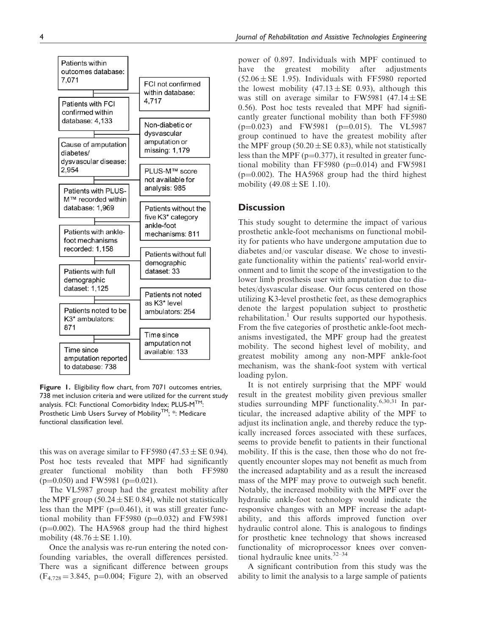

Figure 1. Eligibility flow chart, from 7071 outcomes entries, 738 met inclusion criteria and were utilized for the current study analysis. FCI: Functional Comorbidity Index; PLUS-M<sup>TM</sup>: Prosthetic Limb Users Survey of Mobility™; \*: Medicare functional classification level.

this was on average similar to FF5980 (47.53  $\pm$  SE 0.94). Post hoc tests revealed that MPF had significantly greater functional mobility than both FF5980  $(p=0.050)$  and FW5981 (p=0.021).

The VL5987 group had the greatest mobility after the MPF group (50.24  $\pm$  SE 0.84), while not statistically less than the MPF ( $p=0.461$ ), it was still greater functional mobility than FF5980 ( $p=0.032$ ) and FW5981  $(p=0.002)$ . The HA5968 group had the third highest mobility  $(48.76 \pm SE 1.10)$ .

Once the analysis was re-run entering the noted confounding variables, the overall differences persisted. There was a significant difference between groups  $(F_{4,728} = 3.845, p=0.004;$  Figure 2), with an observed power of 0.897. Individuals with MPF continued to have the greatest mobility after adjustments  $(52.06 \pm SE$  1.95). Individuals with FF5980 reported the lowest mobility  $(47.13 \pm SE \ 0.93)$ , although this was still on average similar to FW5981  $(47.14 \pm SE)$ 0.56). Post hoc tests revealed that MPF had significantly greater functional mobility than both FF5980  $(p=0.023)$  and FW5981 (p=0.015). The VL5987 group continued to have the greatest mobility after the MPF group (50.20  $\pm$  SE 0.83), while not statistically less than the MPF ( $p=0.377$ ), it resulted in greater functional mobility than FF5980  $(p=0.014)$  and FW5981  $(p=0.002)$ . The HA5968 group had the third highest mobility  $(49.08 \pm SE 1.10)$ .

## **Discussion**

This study sought to determine the impact of various prosthetic ankle-foot mechanisms on functional mobility for patients who have undergone amputation due to diabetes and/or vascular disease. We chose to investigate functionality within the patients' real-world environment and to limit the scope of the investigation to the lower limb prosthesis user with amputation due to diabetes/dysvascular disease. Our focus centered on those utilizing K3-level prosthetic feet, as these demographics denote the largest population subject to prosthetic rehabilitation.<sup>1</sup> Our results supported our hypothesis. From the five categories of prosthetic ankle-foot mechanisms investigated, the MPF group had the greatest mobility. The second highest level of mobility, and greatest mobility among any non-MPF ankle-foot mechanism, was the shank-foot system with vertical loading pylon.

It is not entirely surprising that the MPF would result in the greatest mobility given previous smaller studies surrounding MPF functionality.<sup>6,30,31</sup> In particular, the increased adaptive ability of the MPF to adjust its inclination angle, and thereby reduce the typically increased forces associated with these surfaces, seems to provide benefit to patients in their functional mobility. If this is the case, then those who do not frequently encounter slopes may not benefit as much from the increased adaptability and as a result the increased mass of the MPF may prove to outweigh such benefit. Notably, the increased mobility with the MPF over the hydraulic ankle-foot technology would indicate the responsive changes with an MPF increase the adaptability, and this affords improved function over hydraulic control alone. This is analogous to findings for prosthetic knee technology that shows increased functionality of microprocessor knees over conventional hydraulic knee units.32–34

A significant contribution from this study was the ability to limit the analysis to a large sample of patients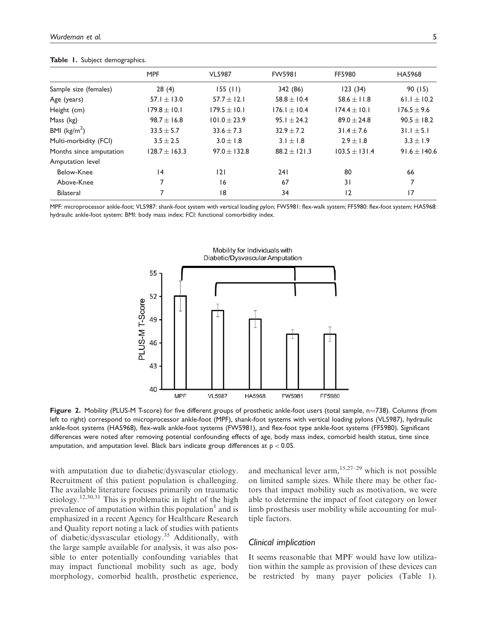|                         | <b>MPF</b>        | <b>VL5987</b>    | <b>FW5981</b>    | FF5980            | HA5968           |
|-------------------------|-------------------|------------------|------------------|-------------------|------------------|
| Sample size (females)   | 28(4)             | 155(11)          | 342 (86)         | 123(34)           | 90(15)           |
| Age (years)             | 57.1 $\pm$ 13.0   | $57.7 \pm 12.1$  | $58.8 \pm 10.4$  | 58.6 $\pm$ 11.8   | 61.1 $\pm$ 10.2  |
| Height (cm)             | $179.8 \pm 10.1$  | $179.5 \pm 10.1$ | $176.1 \pm 10.4$ | $174.4 \pm 10.1$  | $176.5 \pm 9.6$  |
| Mass (kg)               | $98.7 \pm 16.8$   | $101.0 \pm 23.9$ | $95.1 \pm 24.2$  | $89.0 \pm 24.8$   | $90.5 \pm 18.2$  |
| BMI ( $\text{kg/m}^2$ ) | $33.5 \pm 5.7$    | $33.6 \pm 7.3$   | $32.9 + 7.2$     | $31.4 \pm 7.6$    | $31.1 \pm 5.1$   |
| Multi-morbidity (FCI)   | $3.5 \pm 2.5$     | $3.0 \pm 1.8$    | $3.1 \pm 1.8$    | $2.9 \pm 1.8$     | $3.3 \pm 1.9$    |
| Months since amputation | $128.7 \pm 163.3$ | $97.0 \pm 132.8$ | $88.2 \pm 121.3$ | $103.5 \pm 131.4$ | $91.6 \pm 140.6$ |
| Amputation level        |                   |                  |                  |                   |                  |
| Below-Knee              | 14                | 2                | 241              | 80                | 66               |
| Above-Knee              |                   | 16               | 67               | 31                | 7                |
| <b>Bilateral</b>        |                   | 18               | 34               | 12                | 17               |
|                         |                   |                  |                  |                   |                  |

Table 1. Subject demographics.

MPF: microprocessor ankle-foot; VL5987: shank-foot system with vertical loading pylon; FW5981: flex-walk system; FF5980: flex-foot system; HA5968: hydraulic ankle-foot system; BMI: body mass index; FCI: functional comorbidity index.



Figure 2. Mobility (PLUS-M T-score) for five different groups of prosthetic ankle-foot users (total sample, n=738). Columns (from left to right) correspond to microprocessor ankle-foot (MPF), shank-foot systems with vertical loading pylons (VL5987), hydraulic ankle-foot systems (HA5968), flex-walk ankle-foot systems (FW5981), and flex-foot type ankle-foot systems (FF5980). Significant differences were noted after removing potential confounding effects of age, body mass index, comorbid health status, time since amputation, and amputation level. Black bars indicate group differences at  $p < 0.05$ .

with amputation due to diabetic/dysvascular etiology. Recruitment of this patient population is challenging. The available literature focuses primarily on traumatic etiology.<sup>12,30,31</sup> This is problematic in light of the high prevalence of amputation within this population $<sup>1</sup>$  and is</sup> emphasized in a recent Agency for Healthcare Research and Quality report noting a lack of studies with patients of diabetic/dysvascular etiology.<sup>35</sup> Additionally, with the large sample available for analysis, it was also possible to enter potentially confounding variables that may impact functional mobility such as age, body morphology, comorbid health, prosthetic experience, and mechanical lever arm,  $15,27-29$  which is not possible on limited sample sizes. While there may be other factors that impact mobility such as motivation, we were able to determine the impact of foot category on lower limb prosthesis user mobility while accounting for multiple factors.

## Clinical implication

It seems reasonable that MPF would have low utilization within the sample as provision of these devices can be restricted by many payer policies (Table 1).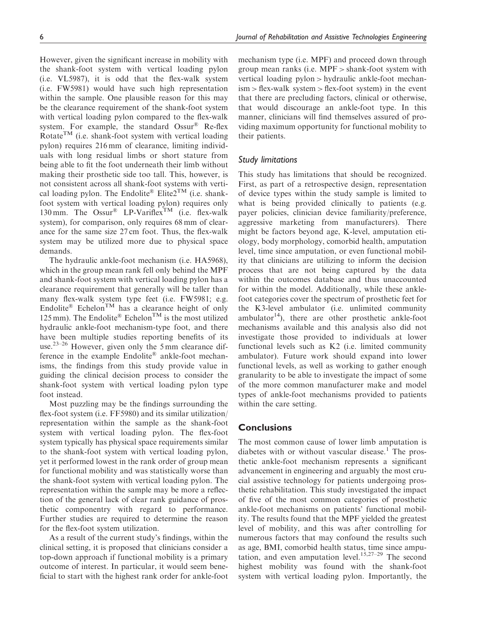However, given the significant increase in mobility with the shank-foot system with vertical loading pylon (i.e. VL5987), it is odd that the flex-walk system (i.e. FW5981) would have such high representation within the sample. One plausible reason for this may be the clearance requirement of the shank-foot system with vertical loading pylon compared to the flex-walk system. For example, the standard Ossur® Re-flex Rotate<sup>TM</sup> (i.e. shank-foot system with vertical loading pylon) requires 216 mm of clearance, limiting individuals with long residual limbs or short stature from being able to fit the foot underneath their limb without making their prosthetic side too tall. This, however, is not consistent across all shank-foot systems with vertical loading pylon. The Endolite® Elite2<sup>TM</sup> (i.e. shankfoot system with vertical loading pylon) requires only 130 mm. The Ossur<sup>®</sup> LP-Variflex<sup>TM</sup> (i.e. flex-walk system), for comparison, only requires 68 mm of clearance for the same size 27 cm foot. Thus, the flex-walk system may be utilized more due to physical space demands.

The hydraulic ankle-foot mechanism (i.e. HA5968), which in the group mean rank fell only behind the MPF and shank-foot system with vertical loading pylon has a clearance requirement that generally will be taller than many flex-walk system type feet (i.e. FW5981; e.g. Endolite<sup>®</sup> Echelon<sup>TM</sup> has a clearance height of only 125 mm). The Endolite® Echelon<sup>TM</sup> is the most utilized hydraulic ankle-foot mechanism-type foot, and there have been multiple studies reporting benefits of its use.23–26 However, given only the 5 mm clearance difference in the example Endolite® ankle-foot mechanisms, the findings from this study provide value in guiding the clinical decision process to consider the shank-foot system with vertical loading pylon type foot instead.

Most puzzling may be the findings surrounding the flex-foot system (i.e. FF5980) and its similar utilization/ representation within the sample as the shank-foot system with vertical loading pylon. The flex-foot system typically has physical space requirements similar to the shank-foot system with vertical loading pylon, yet it performed lowest in the rank order of group mean for functional mobility and was statistically worse than the shank-foot system with vertical loading pylon. The representation within the sample may be more a reflection of the general lack of clear rank guidance of prosthetic componentry with regard to performance. Further studies are required to determine the reason for the flex-foot system utilization.

As a result of the current study's findings, within the clinical setting, it is proposed that clinicians consider a top-down approach if functional mobility is a primary outcome of interest. In particular, it would seem beneficial to start with the highest rank order for ankle-foot mechanism type (i.e. MPF) and proceed down through group mean ranks (i.e. MPF > shank-foot system with vertical loading pylon > hydraulic ankle-foot mechan $ism > flex-walk$  system  $> flex$ -foot system) in the event that there are precluding factors, clinical or otherwise, that would discourage an ankle-foot type. In this manner, clinicians will find themselves assured of providing maximum opportunity for functional mobility to their patients.

## Study limitations

This study has limitations that should be recognized. First, as part of a retrospective design, representation of device types within the study sample is limited to what is being provided clinically to patients (e.g. payer policies, clinician device familiarity/preference, aggressive marketing from manufacturers). There might be factors beyond age, K-level, amputation etiology, body morphology, comorbid health, amputation level, time since amputation, or even functional mobility that clinicians are utilizing to inform the decision process that are not being captured by the data within the outcomes database and thus unaccounted for within the model. Additionally, while these anklefoot categories cover the spectrum of prosthetic feet for the K3-level ambulator (i.e. unlimited community ambulator $14$ ), there are other prosthetic ankle-foot mechanisms available and this analysis also did not investigate those provided to individuals at lower functional levels such as K2 (i.e. limited community ambulator). Future work should expand into lower functional levels, as well as working to gather enough granularity to be able to investigate the impact of some of the more common manufacturer make and model types of ankle-foot mechanisms provided to patients within the care setting.

## **Conclusions**

The most common cause of lower limb amputation is diabetes with or without vascular disease.<sup>1</sup> The prosthetic ankle-foot mechanism represents a significant advancement in engineering and arguably the most crucial assistive technology for patients undergoing prosthetic rehabilitation. This study investigated the impact of five of the most common categories of prosthetic ankle-foot mechanisms on patients' functional mobility. The results found that the MPF yielded the greatest level of mobility, and this was after controlling for numerous factors that may confound the results such as age, BMI, comorbid health status, time since amputation, and even amputation level. $15,27-29$  The second highest mobility was found with the shank-foot system with vertical loading pylon. Importantly, the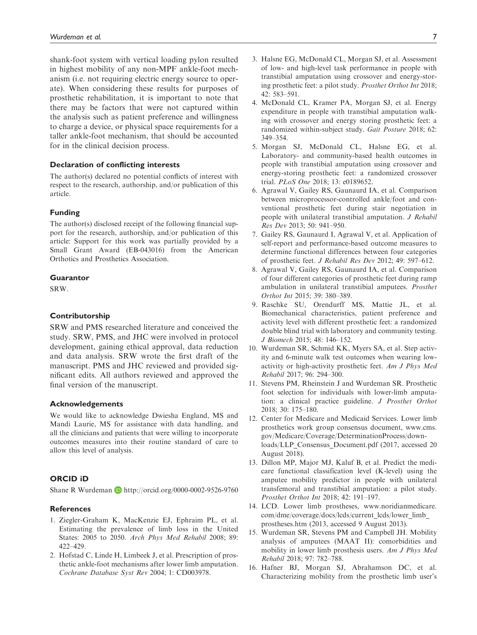shank-foot system with vertical loading pylon resulted in highest mobility of any non-MPF ankle-foot mechanism (i.e. not requiring electric energy source to operate). When considering these results for purposes of prosthetic rehabilitation, it is important to note that there may be factors that were not captured within the analysis such as patient preference and willingness to charge a device, or physical space requirements for a taller ankle-foot mechanism, that should be accounted for in the clinical decision process.

#### Declaration of conflicting interests

The author(s) declared no potential conflicts of interest with respect to the research, authorship, and/or publication of this article.

#### Funding

The author(s) disclosed receipt of the following financial support for the research, authorship, and/or publication of this article: Support for this work was partially provided by a Small Grant Award (EB-043016) from the American Orthotics and Prosthetics Association.

#### Guarantor

SRW.

## Contributorship

SRW and PMS researched literature and conceived the study. SRW, PMS, and JHC were involved in protocol development, gaining ethical approval, data reduction and data analysis. SRW wrote the first draft of the manuscript. PMS and JHC reviewed and provided significant edits. All authors reviewed and approved the final version of the manuscript.

#### Acknowledgements

We would like to acknowledge Dwiesha England, MS and Mandi Laurie, MS for assistance with data handling, and all the clinicians and patients that were willing to incorporate outcomes measures into their routine standard of care to allow this level of analysis.

## ORCID iD

Shane R Wurdeman D http://orcid.org/0000-0002-9526-9760

## **References**

- 1. Ziegler-Graham K, MacKenzie EJ, Ephraim PL, et al. Estimating the prevalence of limb loss in the United States: 2005 to 2050. Arch Phys Med Rehabil 2008; 89: 422–429.
- 2. Hofstad C, Linde H, Limbeek J, et al. Prescription of prosthetic ankle-foot mechanisms after lower limb amputation. Cochrane Database Syst Rev 2004; 1: CD003978.
- 3. Halsne EG, McDonald CL, Morgan SJ, et al. Assessment of low- and high-level task performance in people with transtibial amputation using crossover and energy-storing prosthetic feet: a pilot study. Prosthet Orthot Int 2018; 42: 583–591.
- 4. McDonald CL, Kramer PA, Morgan SJ, et al. Energy expenditure in people with transtibial amputation walking with crossover and energy storing prosthetic feet: a randomized within-subject study. Gait Posture 2018; 62: 349–354.
- 5. Morgan SJ, McDonald CL, Halsne EG, et al. Laboratory- and community-based health outcomes in people with transtibial amputation using crossover and energy-storing prosthetic feet: a randomized crossover trial. PLoS One 2018; 13: e0189652.
- 6. Agrawal V, Gailey RS, Gaunaurd IA, et al. Comparison between microprocessor-controlled ankle/foot and conventional prosthetic feet during stair negotiation in people with unilateral transtibial amputation. J Rehabil Res Dev 2013; 50: 941–950.
- 7. Gailey RS, Gaunaurd I, Agrawal V, et al. Application of self-report and performance-based outcome measures to determine functional differences between four categories of prosthetic feet. J Rehabil Res Dev 2012; 49: 597–612.
- 8. Agrawal V, Gailey RS, Gaunaurd IA, et al. Comparison of four different categories of prosthetic feet during ramp ambulation in unilateral transtibial amputees. Prosthet Orthot Int 2015; 39: 380–389.
- 9. Raschke SU, Orendurff MS, Mattie JL, et al. Biomechanical characteristics, patient preference and activity level with different prosthetic feet: a randomized double blind trial with laboratory and community testing. J Biomech 2015; 48: 146–152.
- 10. Wurdeman SR, Schmid KK, Myers SA, et al. Step activity and 6-minute walk test outcomes when wearing lowactivity or high-activity prosthetic feet. Am J Phys Med Rehabil 2017; 96: 294–300.
- 11. Stevens PM, Rheinstein J and Wurdeman SR. Prosthetic foot selection for individuals with lower-limb amputation: a clinical practice guideline. J Prosthet Orthot 2018; 30: 175–180.
- 12. Center for Medicare and Medicaid Services. Lower limb prosthetics work group consensus document, [www.cms.](www.cms.gov/Medicare/Coverage/DeterminationProcess/downloads/LLP_Consensus_Document.pdf) [gov/Medicare/Coverage/DeterminationProcess/down](www.cms.gov/Medicare/Coverage/DeterminationProcess/downloads/LLP_Consensus_Document.pdf)[loads/LLP\\_Consensus\\_Document.pdf](www.cms.gov/Medicare/Coverage/DeterminationProcess/downloads/LLP_Consensus_Document.pdf) (2017, accessed 20 August 2018).
- 13. Dillon MP, Major MJ, Kaluf B, et al. Predict the medicare functional classification level (K-level) using the amputee mobility predictor in people with unilateral transfemoral and transtibial amputation: a pilot study. Prosthet Orthot Int 2018; 42: 191–197.
- 14. LCD. Lower limb prostheses, [www.noridianmedicare.](www.noridianmedicare.com/dme/coverage/docs/lcds/current_lcds/lower_limb_prostheses.htm) [com/dme/coverage/docs/lcds/current\\_lcds/lower\\_limb\\_](www.noridianmedicare.com/dme/coverage/docs/lcds/current_lcds/lower_limb_prostheses.htm) [prostheses.htm](www.noridianmedicare.com/dme/coverage/docs/lcds/current_lcds/lower_limb_prostheses.htm) (2013, accessed 9 August 2013).
- 15. Wurdeman SR, Stevens PM and Campbell JH. Mobility analysis of amputees (MAAT II): comorbidities and mobility in lower limb prosthesis users. Am J Phys Med Rehabil 2018; 97: 782–788.
- 16. Hafner BJ, Morgan SJ, Abrahamson DC, et al. Characterizing mobility from the prosthetic limb user's